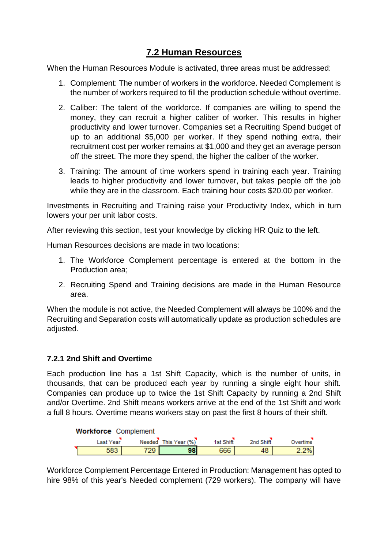## **7.2 Human Resources**

When the Human Resources Module is activated, three areas must be addressed:

- 1. Complement: The number of workers in the workforce. Needed Complement is the number of workers required to fill the production schedule without overtime.
- 2. Caliber: The talent of the workforce. If companies are willing to spend the money, they can recruit a higher caliber of worker. This results in higher productivity and lower turnover. Companies set a Recruiting Spend budget of up to an additional \$5,000 per worker. If they spend nothing extra, their recruitment cost per worker remains at \$1,000 and they get an average person off the street. The more they spend, the higher the caliber of the worker.
- 3. Training: The amount of time workers spend in training each year. Training leads to higher productivity and lower turnover, but takes people off the job while they are in the classroom. Each training hour costs \$20,00 per worker.

Investments in Recruiting and Training raise your Productivity Index, which in turn lowers your per unit labor costs.

After reviewing this section, test your knowledge by clicking HR Quiz to the left.

Human Resources decisions are made in two locations:

- 1. The Workforce Complement percentage is entered at the bottom in the Production area;
- 2. Recruiting Spend and Training decisions are made in the Human Resource area.

When the module is not active, the Needed Complement will always be 100% and the Recruiting and Separation costs will automatically update as production schedules are adjusted.

## **7.2.1 2nd Shift and Overtime**

Each production line has a 1st Shift Capacity, which is the number of units, in thousands, that can be produced each year by running a single eight hour shift. Companies can produce up to twice the 1st Shift Capacity by running a 2nd Shift and/or Overtime. 2nd Shift means workers arrive at the end of the 1st Shift and work a full 8 hours. Overtime means workers stay on past the first 8 hours of their shift.

| <b>Workforce Complement</b> |           |      |                      |           |           |          |  |  |
|-----------------------------|-----------|------|----------------------|-----------|-----------|----------|--|--|
|                             | Last Year |      | Needed This Year (%) | 1st Shift | 2nd Shift | Overtime |  |  |
|                             | 583       | 729. | 98                   | 666       | 48        | 2%       |  |  |

Workforce Complement Percentage Entered in Production: Management has opted to hire 98% of this year's Needed complement (729 workers). The company will have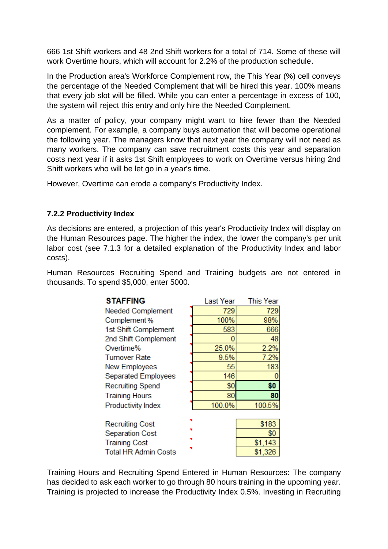666 1st Shift workers and 48 2nd Shift workers for a total of 714. Some of these will work Overtime hours, which will account for 2.2% of the production schedule.

In the Production area's Workforce Complement row, the This Year (%) cell conveys the percentage of the Needed Complement that will be hired this year. 100% means that every job slot will be filled. While you can enter a percentage in excess of 100, the system will reject this entry and only hire the Needed Complement.

As a matter of policy, your company might want to hire fewer than the Needed complement. For example, a company buys automation that will become operational the following year. The managers know that next year the company will not need as many workers. The company can save recruitment costs this year and separation costs next year if it asks 1st Shift employees to work on Overtime versus hiring 2nd Shift workers who will be let go in a year's time.

However, Overtime can erode a company's Productivity Index.

## **7.2.2 Productivity Index**

As decisions are entered, a projection of this year's Productivity Index will display on the Human Resources page. The higher the index, the lower the company's per unit labor cost (see 7.1.3 for a detailed explanation of the Productivity Index and labor costs).

Human Resources Recruiting Spend and Training budgets are not entered in thousands. To spend \$5,000, enter 5000.

| <b>STAFFING</b>             | Last Year | <b>This Year</b> |
|-----------------------------|-----------|------------------|
| <b>Needed Complement</b>    | 729       | 729              |
| Complement%                 | 100%      | 98%              |
| 1st Shift Complement        | 583       | 666              |
| 2nd Shift Complement        | 0         | 48               |
| Overtime%                   | 25.0%     | 2.2%             |
| <b>Turnover Rate</b>        | 9.5%      | 7.2%             |
| New Employees               | 55        | 183              |
| Separated Employees         | 146       |                  |
| <b>Recruiting Spend</b>     | \$0       | \$0              |
| <b>Training Hours</b>       | 80        | 80               |
| <b>Productivity Index</b>   | 100.0%    | 100.5%           |
|                             |           |                  |
| <b>Recruiting Cost</b>      |           | \$183            |
| <b>Separation Cost</b>      |           | \$0              |
| <b>Training Cost</b>        |           | \$1,143          |
| <b>Total HR Admin Costs</b> |           | \$1,326          |

Training Hours and Recruiting Spend Entered in Human Resources: The company has decided to ask each worker to go through 80 hours training in the upcoming year. Training is projected to increase the Productivity Index 0.5%. Investing in Recruiting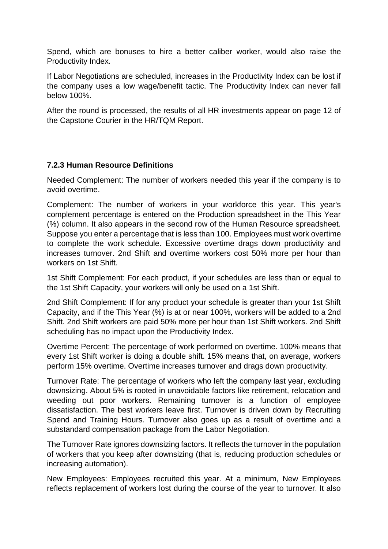Spend, which are bonuses to hire a better caliber worker, would also raise the Productivity Index.

If Labor Negotiations are scheduled, increases in the Productivity Index can be lost if the company uses a low wage/benefit tactic. The Productivity Index can never fall below 100%.

After the round is processed, the results of all HR investments appear on page 12 of the Capstone Courier in the HR/TQM Report.

## **7.2.3 Human Resource Definitions**

Needed Complement: The number of workers needed this year if the company is to avoid overtime.

Complement: The number of workers in your workforce this year. This year's complement percentage is entered on the Production spreadsheet in the This Year (%) column. It also appears in the second row of the Human Resource spreadsheet. Suppose you enter a percentage that is less than 100. Employees must work overtime to complete the work schedule. Excessive overtime drags down productivity and increases turnover. 2nd Shift and overtime workers cost 50% more per hour than workers on 1st Shift.

1st Shift Complement: For each product, if your schedules are less than or equal to the 1st Shift Capacity, your workers will only be used on a 1st Shift.

2nd Shift Complement: If for any product your schedule is greater than your 1st Shift Capacity, and if the This Year (%) is at or near 100%, workers will be added to a 2nd Shift. 2nd Shift workers are paid 50% more per hour than 1st Shift workers. 2nd Shift scheduling has no impact upon the Productivity Index.

Overtime Percent: The percentage of work performed on overtime. 100% means that every 1st Shift worker is doing a double shift. 15% means that, on average, workers perform 15% overtime. Overtime increases turnover and drags down productivity.

Turnover Rate: The percentage of workers who left the company last year, excluding downsizing. About 5% is rooted in unavoidable factors like retirement, relocation and weeding out poor workers. Remaining turnover is a function of employee dissatisfaction. The best workers leave first. Turnover is driven down by Recruiting Spend and Training Hours. Turnover also goes up as a result of overtime and a substandard compensation package from the Labor Negotiation.

The Turnover Rate ignores downsizing factors. It reflects the turnover in the population of workers that you keep after downsizing (that is, reducing production schedules or increasing automation).

New Employees: Employees recruited this year. At a minimum, New Employees reflects replacement of workers lost during the course of the year to turnover. It also